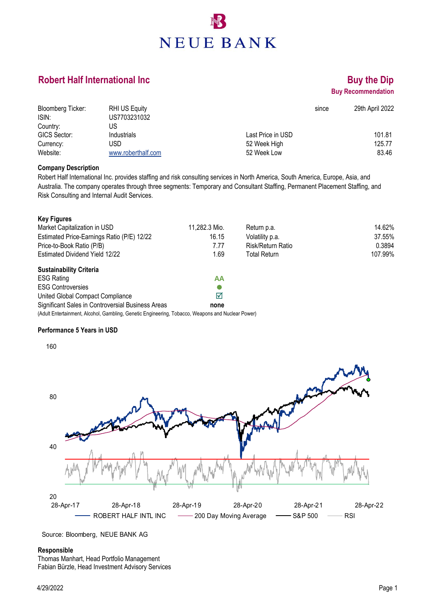# **NEUE BANK**

### **Robert Half International Inc <b>Buy the Dip Buy the Dip**

## **Buy Recommendation**

| <b>Bloomberg Ticker:</b> | <b>RHI US Equity</b> |                   | 29th April 2022<br>since |
|--------------------------|----------------------|-------------------|--------------------------|
| ISIN:                    | US7703231032         |                   |                          |
| Country:                 | US                   |                   |                          |
| GICS Sector:             | Industrials          | Last Price in USD | 101.81                   |
| Currency:                | USD                  | 52 Week High      | 125.77                   |
| Website:                 | www.roberthalf.com   | 52 Week Low       | 83.46                    |

#### **Company Description**

Robert Half International Inc. provides staffing and risk consulting services in North America, South America, Europe, Asia, and Australia. The company operates through three segments: Temporary and Consultant Staffing, Permanent Placement Staffing, and Risk Consulting and Internal Audit Services.

| <b>Key Figures</b>                                                                                |               |                          |         |
|---------------------------------------------------------------------------------------------------|---------------|--------------------------|---------|
| Market Capitalization in USD                                                                      | 11,282.3 Mio. | Return p.a.              | 14.62%  |
| Estimated Price-Earnings Ratio (P/E) 12/22                                                        | 16.15         | Volatility p.a.          | 37.55%  |
| Price-to-Book Ratio (P/B)                                                                         | 7.77          | <b>Risk/Return Ratio</b> | 0.3894  |
| Estimated Dividend Yield 12/22                                                                    | 1.69          | <b>Total Return</b>      | 107.99% |
| <b>Sustainability Criteria</b>                                                                    |               |                          |         |
| <b>ESG Rating</b>                                                                                 | AA            |                          |         |
| <b>ESG Controversies</b>                                                                          |               |                          |         |
| United Global Compact Compliance                                                                  | ☑             |                          |         |
| Significant Sales in Controversial Business Areas                                                 | none          |                          |         |
| (Adult Entertainment, Alcohol, Gambling, Genetic Engineering, Tobacco, Weapons and Nuclear Power) |               |                          |         |

#### **Performance 5 Years in USD**



Source: Bloomberg, NEUE BANK AG

#### **Responsible**

Thomas Manhart, Head Portfolio Management Fabian Bürzle, Head Investment Advisory Services